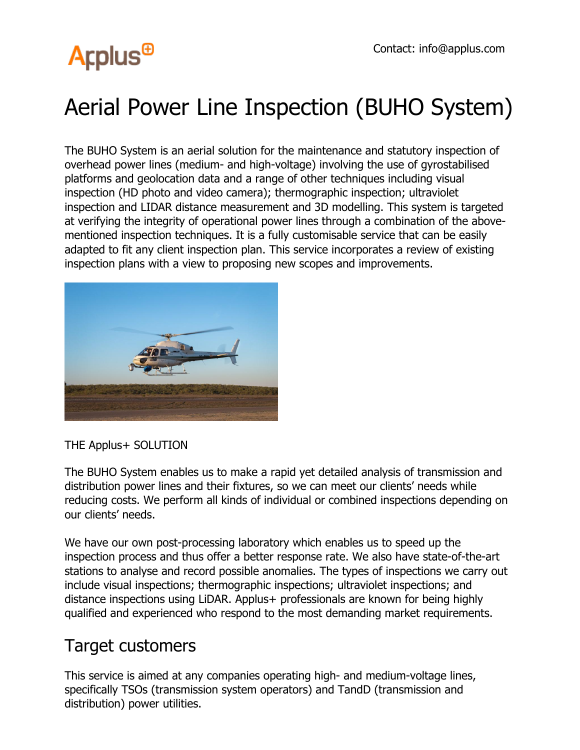## **Arplus<sup>®</sup>**

### Aerial Power Line Inspection (BUHO System)

The BUHO System is an aerial solution for the maintenance and statutory inspection of overhead power lines (medium- and high-voltage) involving the use of gyrostabilised platforms and geolocation data and a range of other techniques including visual inspection (HD photo and video camera); thermographic inspection; ultraviolet inspection and LIDAR distance measurement and 3D modelling. This system is targeted at verifying the integrity of operational power lines through a combination of the abovementioned inspection techniques. It is a fully customisable service that can be easily adapted to fit any client inspection plan. This service incorporates a review of existing inspection plans with a view to proposing new scopes and improvements.



THE Applus+ SOLUTION

The BUHO System enables us to make a rapid yet detailed analysis of transmission and distribution power lines and their fixtures, so we can meet our clients' needs while reducing costs. We perform all kinds of individual or combined inspections depending on our clients' needs.

We have our own post-processing laboratory which enables us to speed up the inspection process and thus offer a better response rate. We also have state-of-the-art stations to analyse and record possible anomalies. The types of inspections we carry out include visual inspections; thermographic inspections; ultraviolet inspections; and distance inspections using LiDAR. Applus+ professionals are known for being highly qualified and experienced who respond to the most demanding market requirements.

#### Target customers

This service is aimed at any companies operating high- and medium-voltage lines, specifically TSOs (transmission system operators) and TandD (transmission and distribution) power utilities.